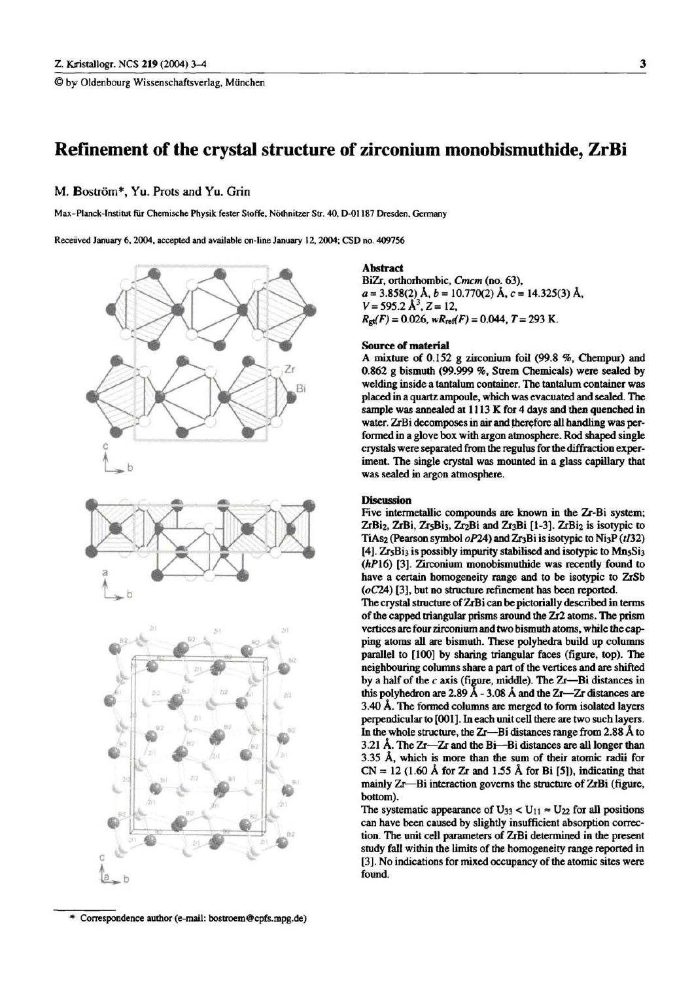© by Oldenbourg Wissenschaftsverlag, München

M. Boström\*, Yu. Prots and Yu. Grin

Max-Planck-Institut für Chemische Physik fester Stoffe, Nöthnitzer Str. 40, D-01187 Dresden, Germany

Received January 6, 2004, accepted and available on-line January 12, 2004; CSD no. 409756



<sup>\*</sup> Correspondence author (e-mail: bostroem@cpfs.mpg.de)

# **Abstract**

BiZr, orthorhombic, Cmcm (no. 63),  $a = 3.858(2)$  Å,  $b = 10.770(2)$  Å,  $c = 14.325(3)$  Å,  $V = 595.2 \text{ Å}^3$ , Z = 12,  $R_{\text{gt}}(F) = 0.026$ ,  $wR_{\text{ref}}(F) = 0.044$ ,  $T = 293$  K.

### **Source of material**

A mixture of 0.152 g zirconium foil (99.8 %, Chempur) and 0.862 g bismuth (99.999 %, Strem Chemicals) were sealed by welding inside a tantalum container. The tantalum container was placed in a quartz ampoule, which was evacuated and sealed. The sample was annealed at 1113 K for 4 days and then quenched in water. ZrBi decomposes in air and therefore all handling was performed in a glove box with argon atmosphere. Rod shaped single crystals were separated from the regulus for the diffraction experiment. The single crystal was mounted in a glass capillary that was sealed in argon atmosphere.

#### **Discussion**

Five intermetallic compounds are known in the Zr-Bi system; ZrBi<sub>2</sub>, ZrBi, Zr<sub>5</sub>Bi<sub>3</sub>, Zr<sub>2</sub>Bi and Zr<sub>3</sub>Bi [1-3]. ZrBi<sub>2</sub> is isotypic to TiAs<sub>2</sub> (Pearson symbol oP24) and Zr<sub>3</sub>Bi is isotypic to Ni<sub>3</sub>P (t132) [4]. Zr5Bi3 is possibly impurity stabilised and isotypic to Mn5Si3 (hP16) [3]. Zirconium monobismuthide was recently found to have a certain homogeneity range and to be isotypic to ZrSb  $(oC24)$  [3], but no structure refinement has been reported.

The crystal structure of ZrBi can be pictorially described in terms of the capped triangular prisms around the Zr2 atoms. The prism vertices are four zirconium and two bismuth atoms, while the capping atoms all are bismuth. These polyhedra build up columns parallel to [100] by sharing triangular faces (figure, top). The neighbouring columns share a part of the vertices and are shifted by a half of the  $c$  axis (figure, middle). The Zr-Bi distances in this polyhedron are 2.89 Å - 3.08 Å and the  $Zr$ — $Zr$  distances are 3.40 Å. The formed columns are merged to form isolated layers perpendicular to [001]. In each unit cell there are two such layers. In the whole structure, the Zr—Bi distances range from 2.88 Å to 3.21 Å. The Zr-Zr and the Bi-Bi distances are all longer than 3.35 Å, which is more than the sum of their atomic radii for  $CN = 12$  (1.60 Å for Zr and 1.55 Å for Bi [5]), indicating that mainly Zr-Bi interaction governs the structure of ZrBi (figure, bottom).

The systematic appearance of  $U_{33} < U_{11} \approx U_{22}$  for all positions can have been caused by slightly insufficient absorption correction. The unit cell parameters of ZrBi determined in the present study fall within the limits of the homogeneity range reported in [3]. No indications for mixed occupancy of the atomic sites were found.